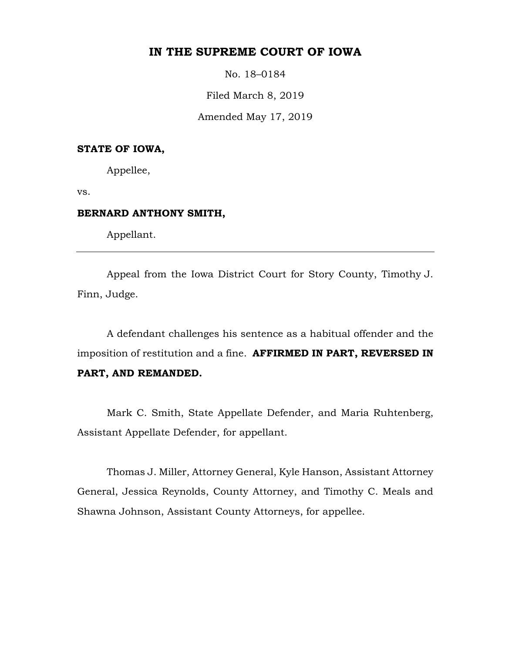# **IN THE SUPREME COURT OF IOWA**

No. 18–0184

Filed March 8, 2019

Amended May 17, 2019

## **STATE OF IOWA,**

Appellee,

vs.

#### **BERNARD ANTHONY SMITH,**

Appellant.

Appeal from the Iowa District Court for Story County, Timothy J. Finn, Judge.

A defendant challenges his sentence as a habitual offender and the imposition of restitution and a fine. **AFFIRMED IN PART, REVERSED IN PART, AND REMANDED.**

Mark C. Smith, State Appellate Defender, and Maria Ruhtenberg, Assistant Appellate Defender, for appellant.

Thomas J. Miller, Attorney General, Kyle Hanson, Assistant Attorney General, Jessica Reynolds, County Attorney, and Timothy C. Meals and Shawna Johnson, Assistant County Attorneys, for appellee.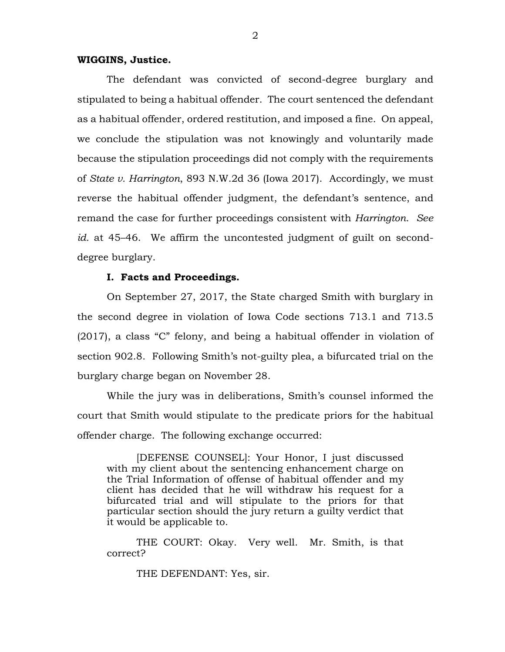#### **WIGGINS, Justice.**

The defendant was convicted of second-degree burglary and stipulated to being a habitual offender. The court sentenced the defendant as a habitual offender, ordered restitution, and imposed a fine. On appeal, we conclude the stipulation was not knowingly and voluntarily made because the stipulation proceedings did not comply with the requirements of *State v. Harrington*, 893 N.W.2d 36 (Iowa 2017). Accordingly, we must reverse the habitual offender judgment, the defendant's sentence, and remand the case for further proceedings consistent with *Harrington*. *See id.* at 45–46. We affirm the uncontested judgment of guilt on seconddegree burglary.

#### **I. Facts and Proceedings.**

On September 27, 2017, the State charged Smith with burglary in the second degree in violation of Iowa Code sections 713.1 and 713.5 (2017), a class "C" felony, and being a habitual offender in violation of section 902.8. Following Smith's not-guilty plea, a bifurcated trial on the burglary charge began on November 28.

While the jury was in deliberations, Smith's counsel informed the court that Smith would stipulate to the predicate priors for the habitual offender charge. The following exchange occurred:

[DEFENSE COUNSEL]: Your Honor, I just discussed with my client about the sentencing enhancement charge on the Trial Information of offense of habitual offender and my client has decided that he will withdraw his request for a bifurcated trial and will stipulate to the priors for that particular section should the jury return a guilty verdict that it would be applicable to.

THE COURT: Okay. Very well. Mr. Smith, is that correct?

THE DEFENDANT: Yes, sir.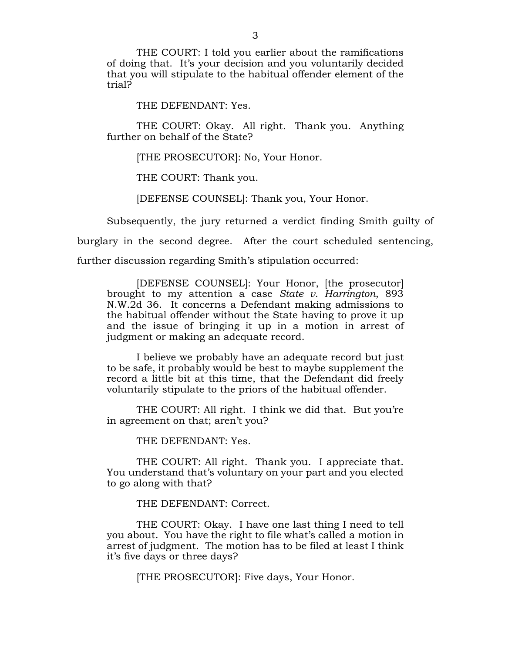THE COURT: I told you earlier about the ramifications of doing that. It's your decision and you voluntarily decided that you will stipulate to the habitual offender element of the trial?

THE DEFENDANT: Yes.

THE COURT: Okay. All right. Thank you. Anything further on behalf of the State?

[THE PROSECUTOR]: No, Your Honor.

THE COURT: Thank you.

[DEFENSE COUNSEL]: Thank you, Your Honor.

Subsequently, the jury returned a verdict finding Smith guilty of burglary in the second degree. After the court scheduled sentencing,

further discussion regarding Smith's stipulation occurred:

[DEFENSE COUNSEL]: Your Honor, [the prosecutor] brought to my attention a case *State v. Harrington*, 893 N.W.2d 36. It concerns a Defendant making admissions to the habitual offender without the State having to prove it up and the issue of bringing it up in a motion in arrest of judgment or making an adequate record.

I believe we probably have an adequate record but just to be safe, it probably would be best to maybe supplement the record a little bit at this time, that the Defendant did freely voluntarily stipulate to the priors of the habitual offender.

THE COURT: All right. I think we did that. But you're in agreement on that; aren't you?

THE DEFENDANT: Yes.

THE COURT: All right. Thank you. I appreciate that. You understand that's voluntary on your part and you elected to go along with that?

THE DEFENDANT: Correct.

THE COURT: Okay. I have one last thing I need to tell you about. You have the right to file what's called a motion in arrest of judgment. The motion has to be filed at least I think it's five days or three days?

[THE PROSECUTOR]: Five days, Your Honor.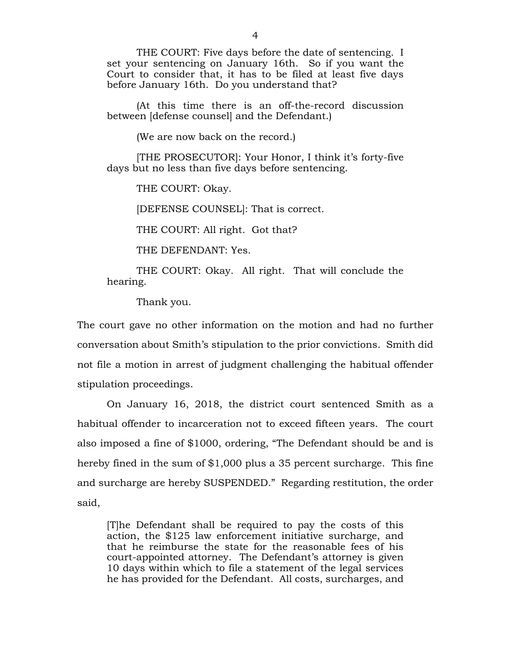THE COURT: Five days before the date of sentencing. I set your sentencing on January 16th. So if you want the Court to consider that, it has to be filed at least five days before January 16th. Do you understand that?

(At this time there is an off-the-record discussion between [defense counsel] and the Defendant.)

(We are now back on the record.)

[THE PROSECUTOR]: Your Honor, I think it's forty-five days but no less than five days before sentencing.

THE COURT: Okay.

[DEFENSE COUNSEL]: That is correct.

THE COURT: All right. Got that?

THE DEFENDANT: Yes.

THE COURT: Okay. All right. That will conclude the hearing.

Thank you.

The court gave no other information on the motion and had no further conversation about Smith's stipulation to the prior convictions. Smith did not file a motion in arrest of judgment challenging the habitual offender stipulation proceedings.

On January 16, 2018, the district court sentenced Smith as a habitual offender to incarceration not to exceed fifteen years. The court also imposed a fine of \$1000, ordering, "The Defendant should be and is hereby fined in the sum of \$1,000 plus a 35 percent surcharge. This fine and surcharge are hereby SUSPENDED." Regarding restitution, the order said,

[T]he Defendant shall be required to pay the costs of this action, the \$125 law enforcement initiative surcharge, and that he reimburse the state for the reasonable fees of his court-appointed attorney. The Defendant's attorney is given 10 days within which to file a statement of the legal services he has provided for the Defendant. All costs, surcharges, and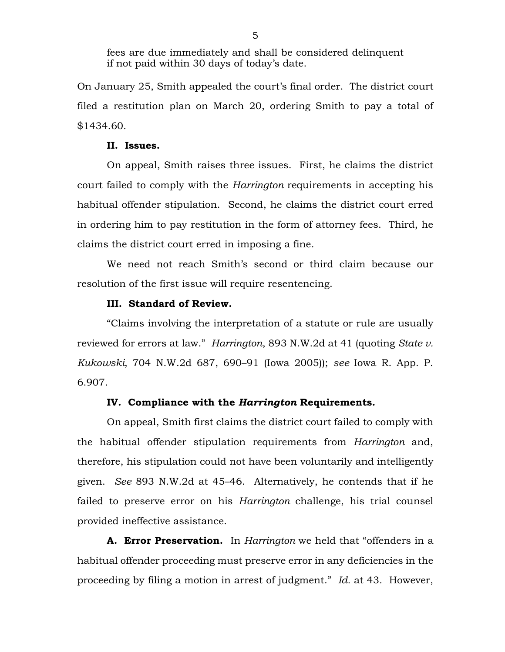fees are due immediately and shall be considered delinquent if not paid within 30 days of today's date.

On January 25, Smith appealed the court's final order. The district court filed a restitution plan on March 20, ordering Smith to pay a total of \$1434.60.

### **II. Issues.**

On appeal, Smith raises three issues. First, he claims the district court failed to comply with the *Harrington* requirements in accepting his habitual offender stipulation. Second, he claims the district court erred in ordering him to pay restitution in the form of attorney fees. Third, he claims the district court erred in imposing a fine.

We need not reach Smith's second or third claim because our resolution of the first issue will require resentencing.

## **III. Standard of Review.**

"Claims involving the interpretation of a statute or rule are usually reviewed for errors at law." *Harrington*, 893 N.W.2d at 41 (quoting *State v. Kukowski*, 704 N.W.2d 687, 690–91 (Iowa 2005)); *see* Iowa R. App. P. 6.907.

#### **IV. Compliance with the** *Harrington* **Requirements.**

On appeal, Smith first claims the district court failed to comply with the habitual offender stipulation requirements from *Harrington* and, therefore, his stipulation could not have been voluntarily and intelligently given. *See* 893 N.W.2d at 45–46. Alternatively, he contends that if he failed to preserve error on his *Harrington* challenge, his trial counsel provided ineffective assistance.

**A. Error Preservation.** In *Harrington* we held that "offenders in a habitual offender proceeding must preserve error in any deficiencies in the proceeding by filing a motion in arrest of judgment." *Id.* at 43. However,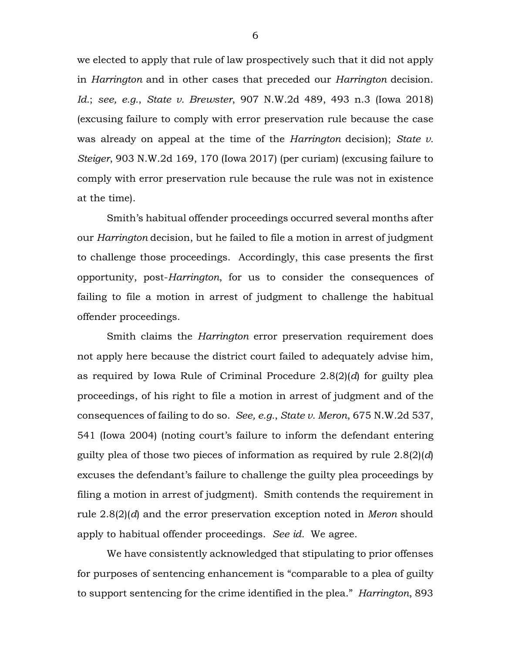we elected to apply that rule of law prospectively such that it did not apply in *Harrington* and in other cases that preceded our *Harrington* decision. *Id.*; *see, e.g.*, *State v. Brewster*, 907 N.W.2d 489, 493 n.3 (Iowa 2018) (excusing failure to comply with error preservation rule because the case was already on appeal at the time of the *Harrington* decision); *State v. Steiger*, 903 N.W.2d 169, 170 (Iowa 2017) (per curiam) (excusing failure to comply with error preservation rule because the rule was not in existence at the time).

Smith's habitual offender proceedings occurred several months after our *Harrington* decision, but he failed to file a motion in arrest of judgment to challenge those proceedings. Accordingly, this case presents the first opportunity, post-*Harrington*, for us to consider the consequences of failing to file a motion in arrest of judgment to challenge the habitual offender proceedings.

Smith claims the *Harrington* error preservation requirement does not apply here because the district court failed to adequately advise him, as required by Iowa Rule of Criminal Procedure 2.8(2)(*d*) for guilty plea proceedings, of his right to file a motion in arrest of judgment and of the consequences of failing to do so. *See, e.g.*, *State v. Meron*, 675 N.W.2d 537, 541 (Iowa 2004) (noting court's failure to inform the defendant entering guilty plea of those two pieces of information as required by rule 2.8(2)(*d*) excuses the defendant's failure to challenge the guilty plea proceedings by filing a motion in arrest of judgment). Smith contends the requirement in rule 2.8(2)(*d*) and the error preservation exception noted in *Meron* should apply to habitual offender proceedings. *See id.* We agree.

We have consistently acknowledged that stipulating to prior offenses for purposes of sentencing enhancement is "comparable to a plea of guilty to support sentencing for the crime identified in the plea." *Harrington*, 893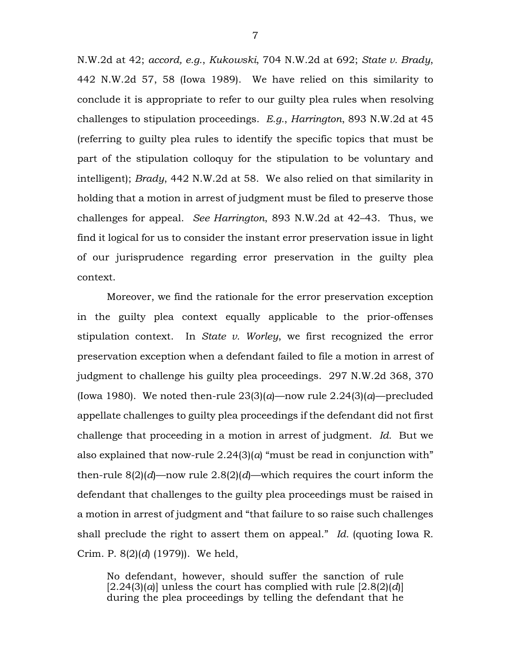N.W.2d at 42; *accord, e.g.*, *Kukowski*, 704 N.W.2d at 692; *State v. Brady*, 442 N.W.2d 57, 58 (Iowa 1989). We have relied on this similarity to conclude it is appropriate to refer to our guilty plea rules when resolving challenges to stipulation proceedings. *E.g.*, *Harrington*, 893 N.W.2d at 45 (referring to guilty plea rules to identify the specific topics that must be part of the stipulation colloquy for the stipulation to be voluntary and intelligent); *Brady*, 442 N.W.2d at 58. We also relied on that similarity in holding that a motion in arrest of judgment must be filed to preserve those challenges for appeal. *See Harrington*, 893 N.W.2d at 42–43. Thus, we find it logical for us to consider the instant error preservation issue in light of our jurisprudence regarding error preservation in the guilty plea context.

Moreover, we find the rationale for the error preservation exception in the guilty plea context equally applicable to the prior-offenses stipulation context. In *State v. Worley*, we first recognized the error preservation exception when a defendant failed to file a motion in arrest of judgment to challenge his guilty plea proceedings. 297 N.W.2d 368, 370 (Iowa 1980). We noted then-rule  $23(3)(a)$ —now rule  $2.24(3)(a)$ —precluded appellate challenges to guilty plea proceedings if the defendant did not first challenge that proceeding in a motion in arrest of judgment. *Id.* But we also explained that now-rule 2.24(3)(*a*) "must be read in conjunction with" then-rule 8(2)(*d*)—now rule 2.8(2)(*d*)—which requires the court inform the defendant that challenges to the guilty plea proceedings must be raised in a motion in arrest of judgment and "that failure to so raise such challenges shall preclude the right to assert them on appeal." *Id.* (quoting Iowa R. Crim. P. 8(2)(*d*) (1979)). We held,

No defendant, however, should suffer the sanction of rule  $[2.24(3)(a)]$  unless the court has complied with rule  $[2.8(2)(d)]$ during the plea proceedings by telling the defendant that he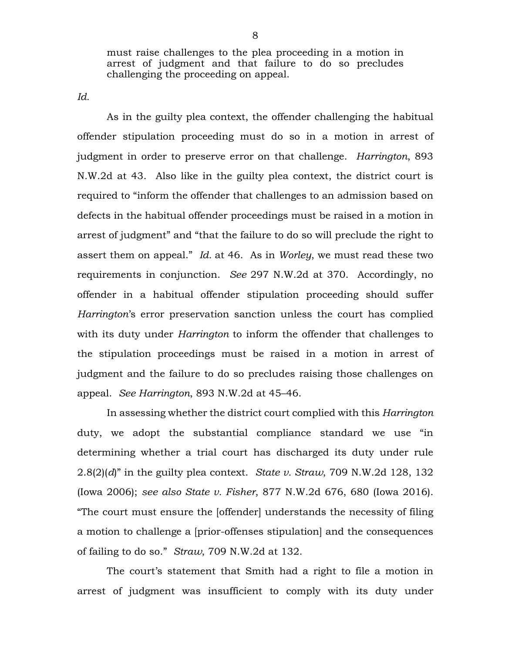must raise challenges to the plea proceeding in a motion in arrest of judgment and that failure to do so precludes challenging the proceeding on appeal.

*Id.* 

As in the guilty plea context, the offender challenging the habitual offender stipulation proceeding must do so in a motion in arrest of judgment in order to preserve error on that challenge. *Harrington*, 893 N.W.2d at 43. Also like in the guilty plea context, the district court is required to "inform the offender that challenges to an admission based on defects in the habitual offender proceedings must be raised in a motion in arrest of judgment" and "that the failure to do so will preclude the right to assert them on appeal." *Id.* at 46. As in *Worley*, we must read these two requirements in conjunction. *See* 297 N.W.2d at 370. Accordingly, no offender in a habitual offender stipulation proceeding should suffer *Harrington*'s error preservation sanction unless the court has complied with its duty under *Harrington* to inform the offender that challenges to the stipulation proceedings must be raised in a motion in arrest of judgment and the failure to do so precludes raising those challenges on appeal. *See Harrington*, 893 N.W.2d at 45–46.

In assessing whether the district court complied with this *Harrington*  duty, we adopt the substantial compliance standard we use "in determining whether a trial court has discharged its duty under rule 2.8(2)(*d*)" in the guilty plea context. *State v. Straw*, 709 N.W.2d 128, 132 (Iowa 2006); *see also State v. Fisher*, 877 N.W.2d 676, 680 (Iowa 2016). "The court must ensure the [offender] understands the necessity of filing a motion to challenge a [prior-offenses stipulation] and the consequences of failing to do so." *Straw*, 709 N.W.2d at 132.

The court's statement that Smith had a right to file a motion in arrest of judgment was insufficient to comply with its duty under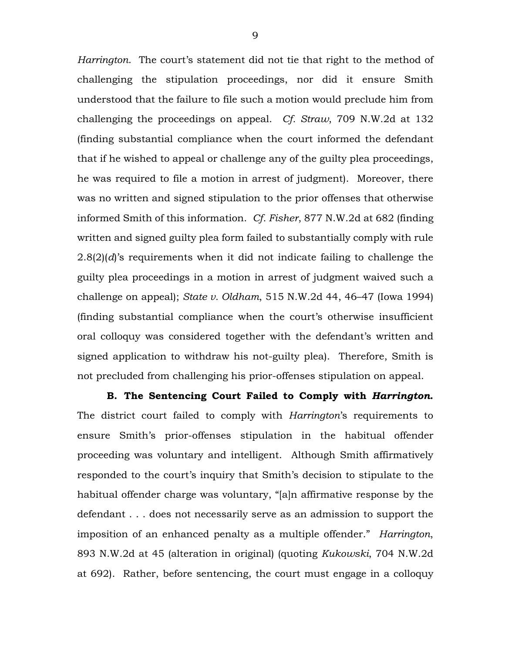*Harrington*. The court's statement did not tie that right to the method of challenging the stipulation proceedings, nor did it ensure Smith understood that the failure to file such a motion would preclude him from challenging the proceedings on appeal. *Cf. Straw*, 709 N.W.2d at 132 (finding substantial compliance when the court informed the defendant that if he wished to appeal or challenge any of the guilty plea proceedings, he was required to file a motion in arrest of judgment). Moreover, there was no written and signed stipulation to the prior offenses that otherwise informed Smith of this information. *Cf. Fisher*, 877 N.W.2d at 682 (finding written and signed guilty plea form failed to substantially comply with rule 2.8(2)(*d*)'s requirements when it did not indicate failing to challenge the guilty plea proceedings in a motion in arrest of judgment waived such a challenge on appeal); *State v. Oldham*, 515 N.W.2d 44, 46–47 (Iowa 1994) (finding substantial compliance when the court's otherwise insufficient oral colloquy was considered together with the defendant's written and signed application to withdraw his not-guilty plea). Therefore, Smith is not precluded from challenging his prior-offenses stipulation on appeal.

**B. The Sentencing Court Failed to Comply with** *Harrington***.**  The district court failed to comply with *Harrington*'s requirements to ensure Smith's prior-offenses stipulation in the habitual offender proceeding was voluntary and intelligent. Although Smith affirmatively responded to the court's inquiry that Smith's decision to stipulate to the habitual offender charge was voluntary, "[a]n affirmative response by the defendant . . . does not necessarily serve as an admission to support the imposition of an enhanced penalty as a multiple offender." *Harrington*, 893 N.W.2d at 45 (alteration in original) (quoting *Kukowski*, 704 N.W.2d at 692). Rather, before sentencing, the court must engage in a colloquy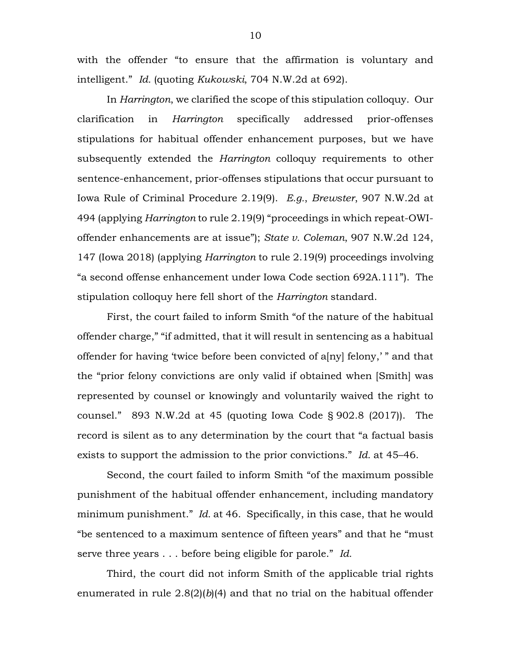with the offender "to ensure that the affirmation is voluntary and intelligent." *Id.* (quoting *Kukowski*, 704 N.W.2d at 692).

In *Harrington*, we clarified the scope of this stipulation colloquy. Our clarification in *Harrington* specifically addressed prior-offenses stipulations for habitual offender enhancement purposes, but we have subsequently extended the *Harrington* colloquy requirements to other sentence-enhancement, prior-offenses stipulations that occur pursuant to Iowa Rule of Criminal Procedure 2.19(9). *E.g.*, *Brewster*, 907 N.W.2d at 494 (applying *Harrington* to rule 2.19(9) "proceedings in which repeat-OWIoffender enhancements are at issue"); *State v. Coleman*, 907 N.W.2d 124, 147 (Iowa 2018) (applying *Harrington* to rule 2.19(9) proceedings involving "a second offense enhancement under Iowa Code section 692A.111"). The stipulation colloquy here fell short of the *Harrington* standard.

First, the court failed to inform Smith "of the nature of the habitual offender charge," "if admitted, that it will result in sentencing as a habitual offender for having 'twice before been convicted of a[ny] felony,' " and that the "prior felony convictions are only valid if obtained when [Smith] was represented by counsel or knowingly and voluntarily waived the right to counsel." 893 N.W.2d at 45 (quoting Iowa Code § 902.8 (2017)). The record is silent as to any determination by the court that "a factual basis exists to support the admission to the prior convictions." *Id.* at 45–46.

Second, the court failed to inform Smith "of the maximum possible punishment of the habitual offender enhancement, including mandatory minimum punishment." *Id.* at 46. Specifically, in this case, that he would "be sentenced to a maximum sentence of fifteen years" and that he "must serve three years . . . before being eligible for parole." *Id.*

Third, the court did not inform Smith of the applicable trial rights enumerated in rule  $2.8(2)(b)(4)$  and that no trial on the habitual offender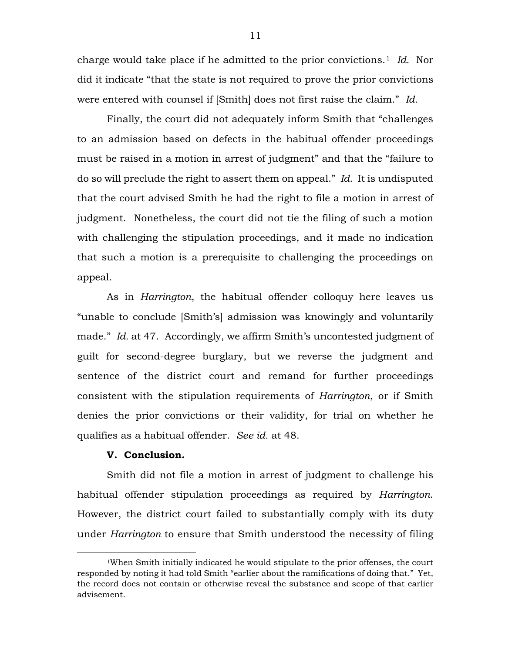charge would take place if he admitted to the prior convictions.[1](#page-10-0) *Id.* Nor did it indicate "that the state is not required to prove the prior convictions were entered with counsel if [Smith] does not first raise the claim." *Id.* 

Finally, the court did not adequately inform Smith that "challenges to an admission based on defects in the habitual offender proceedings must be raised in a motion in arrest of judgment" and that the "failure to do so will preclude the right to assert them on appeal." *Id.* It is undisputed that the court advised Smith he had the right to file a motion in arrest of judgment. Nonetheless, the court did not tie the filing of such a motion with challenging the stipulation proceedings, and it made no indication that such a motion is a prerequisite to challenging the proceedings on appeal.

As in *Harrington*, the habitual offender colloquy here leaves us "unable to conclude [Smith's] admission was knowingly and voluntarily made." *Id.* at 47. Accordingly, we affirm Smith's uncontested judgment of guilt for second-degree burglary, but we reverse the judgment and sentence of the district court and remand for further proceedings consistent with the stipulation requirements of *Harrington*, or if Smith denies the prior convictions or their validity, for trial on whether he qualifies as a habitual offender. *See id.* at 48.

### **V. Conclusion.**

Smith did not file a motion in arrest of judgment to challenge his habitual offender stipulation proceedings as required by *Harrington*. However, the district court failed to substantially comply with its duty under *Harrington* to ensure that Smith understood the necessity of filing

<span id="page-10-0"></span> <sup>1</sup>When Smith initially indicated he would stipulate to the prior offenses, the court responded by noting it had told Smith "earlier about the ramifications of doing that." Yet, the record does not contain or otherwise reveal the substance and scope of that earlier advisement.